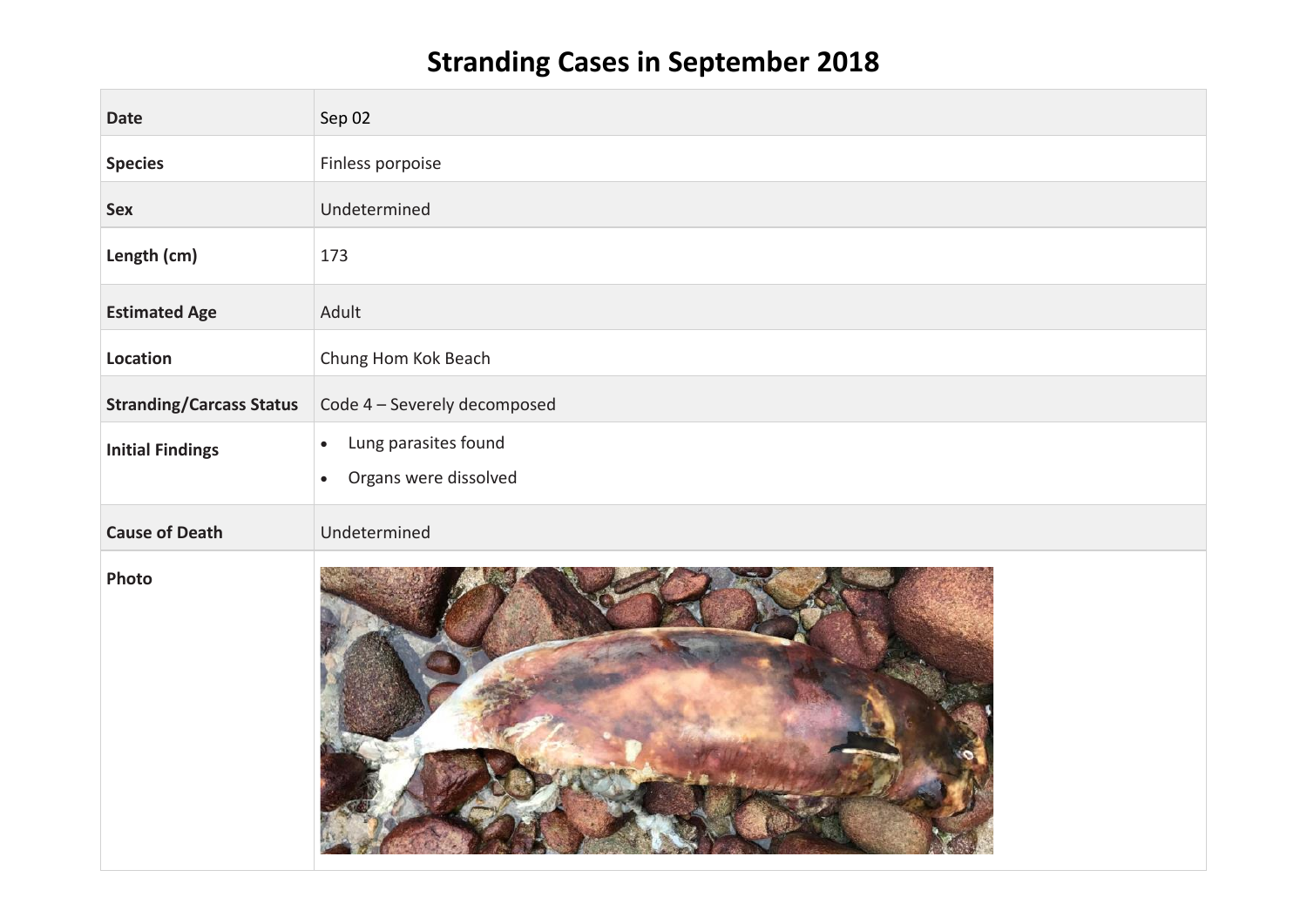## **Stranding Cases in September 2018**

| <b>Date</b>                     | Sep 02                                                                  |
|---------------------------------|-------------------------------------------------------------------------|
| <b>Species</b>                  | Finless porpoise                                                        |
| Sex                             | Undetermined                                                            |
| Length (cm)                     | 173                                                                     |
| <b>Estimated Age</b>            | Adult                                                                   |
| Location                        | Chung Hom Kok Beach                                                     |
| <b>Stranding/Carcass Status</b> | Code 4 - Severely decomposed                                            |
| <b>Initial Findings</b>         | Lung parasites found<br>$\bullet$<br>Organs were dissolved<br>$\bullet$ |
| <b>Cause of Death</b>           | Undetermined                                                            |
| Photo                           |                                                                         |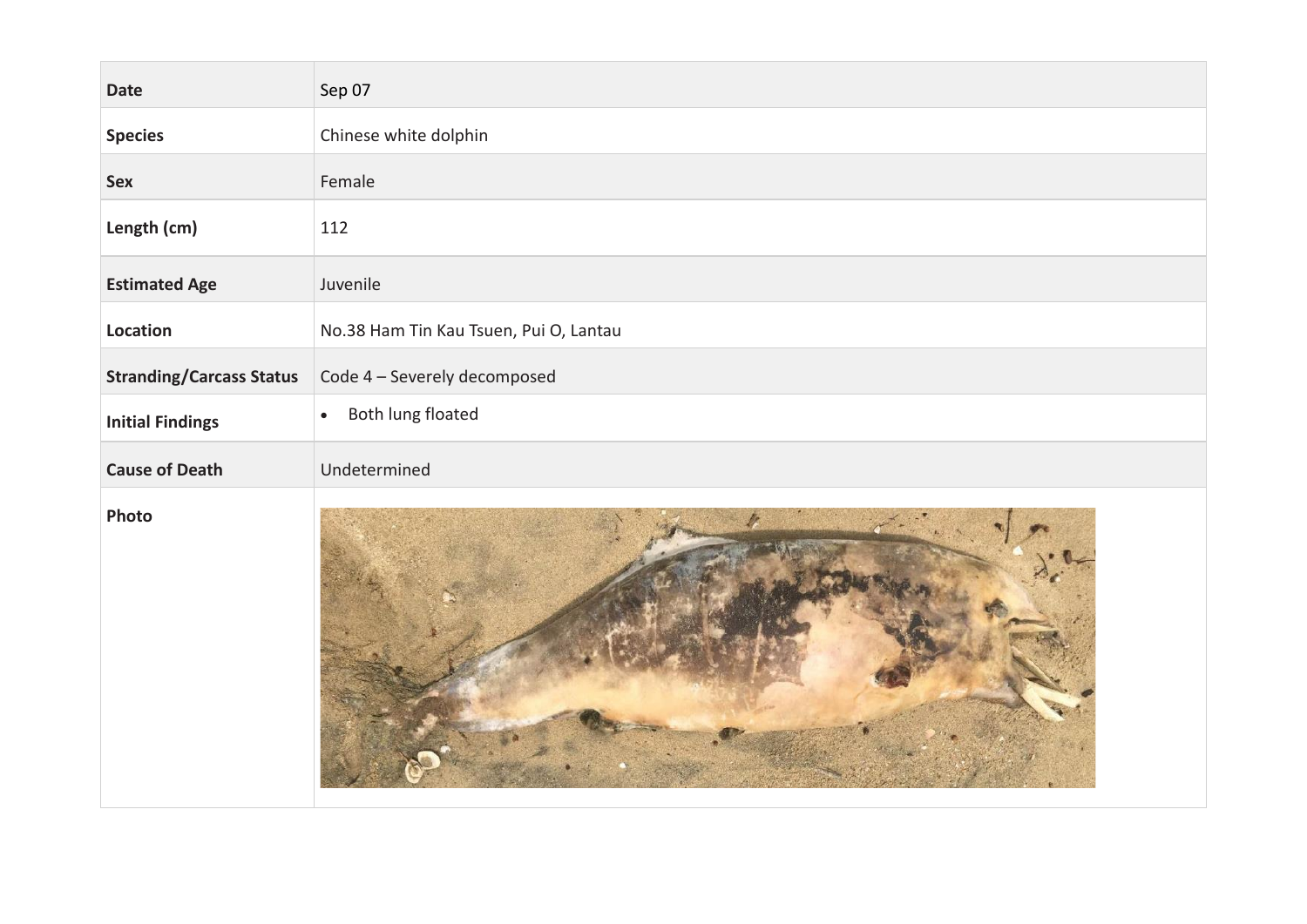| <b>Date</b>                     | Sep 07                                 |
|---------------------------------|----------------------------------------|
| <b>Species</b>                  | Chinese white dolphin                  |
| Sex                             | Female                                 |
| Length (cm)                     | 112                                    |
| <b>Estimated Age</b>            | Juvenile                               |
| Location                        | No.38 Ham Tin Kau Tsuen, Pui O, Lantau |
| <b>Stranding/Carcass Status</b> | Code 4 - Severely decomposed           |
| <b>Initial Findings</b>         | Both lung floated<br>$\bullet$         |
| <b>Cause of Death</b>           | Undetermined                           |
| Photo                           |                                        |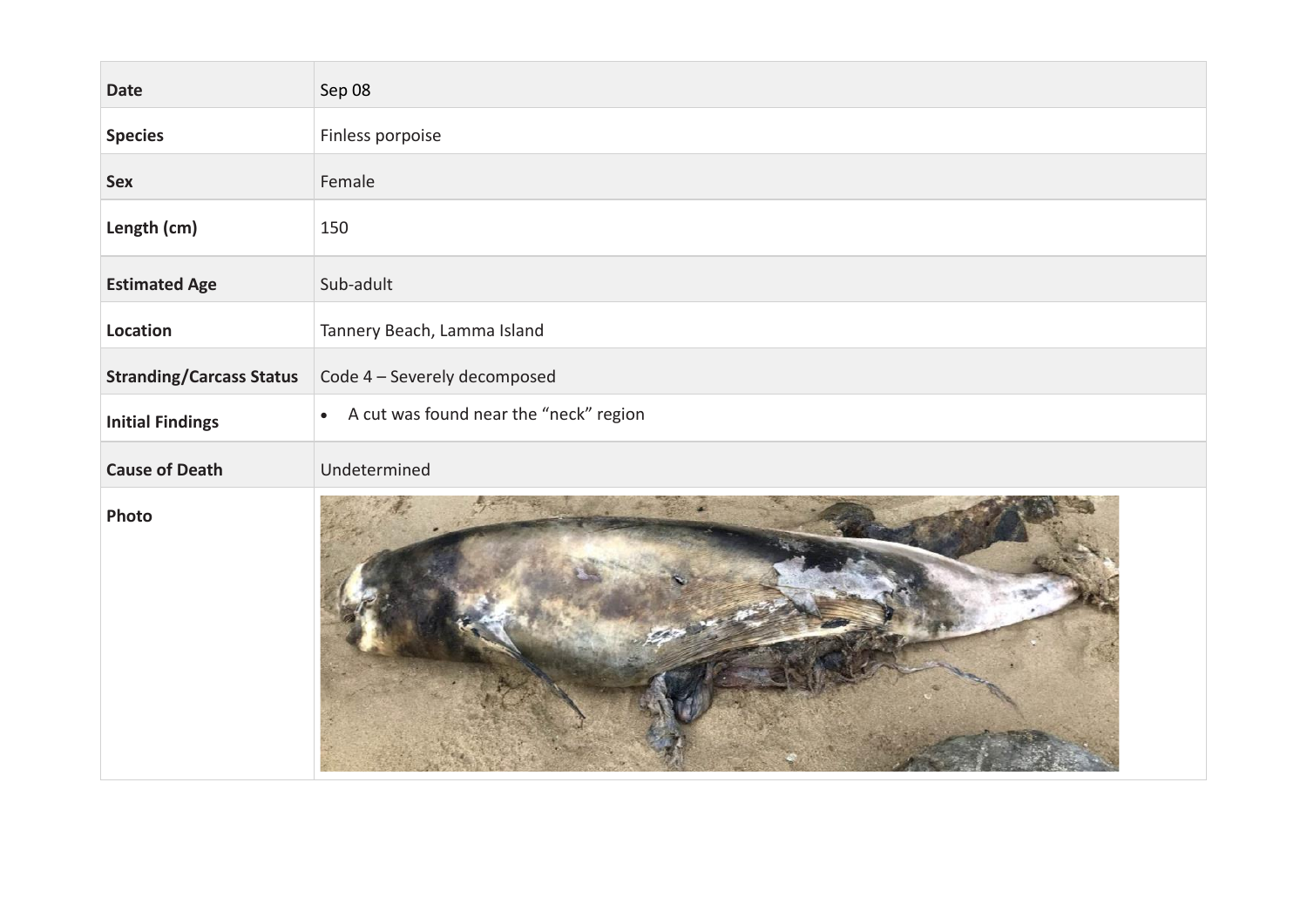| <b>Date</b>                     | Sep 08                                              |
|---------------------------------|-----------------------------------------------------|
| <b>Species</b>                  | Finless porpoise                                    |
| Sex                             | Female                                              |
| Length (cm)                     | 150                                                 |
| <b>Estimated Age</b>            | Sub-adult                                           |
| Location                        | Tannery Beach, Lamma Island                         |
| <b>Stranding/Carcass Status</b> | Code 4 - Severely decomposed                        |
| <b>Initial Findings</b>         | A cut was found near the "neck" region<br>$\bullet$ |
| <b>Cause of Death</b>           | Undetermined                                        |
| Photo                           |                                                     |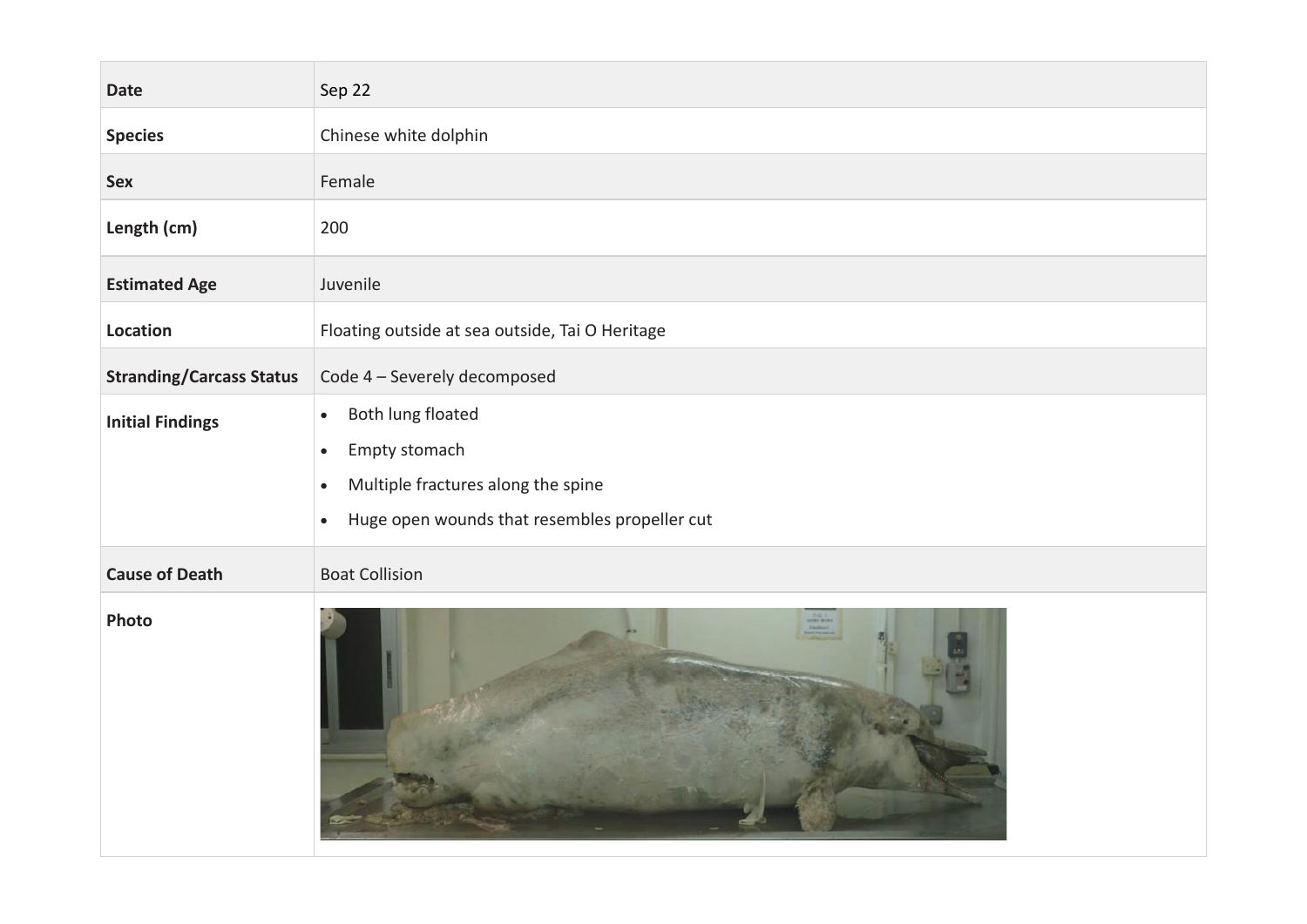| <b>Date</b>                     | Sep 22                                                                                                                                                                        |
|---------------------------------|-------------------------------------------------------------------------------------------------------------------------------------------------------------------------------|
| <b>Species</b>                  | Chinese white dolphin                                                                                                                                                         |
| Sex                             | Female                                                                                                                                                                        |
| Length (cm)                     | 200                                                                                                                                                                           |
| <b>Estimated Age</b>            | Juvenile                                                                                                                                                                      |
| Location                        | Floating outside at sea outside, Tai O Heritage                                                                                                                               |
| <b>Stranding/Carcass Status</b> | Code 4 - Severely decomposed                                                                                                                                                  |
| <b>Initial Findings</b>         | Both lung floated<br>$\bullet$<br>Empty stomach<br>$\bullet$<br>Multiple fractures along the spine<br>$\bullet$<br>Huge open wounds that resembles propeller cut<br>$\bullet$ |
| <b>Cause of Death</b>           | <b>Boat Collision</b>                                                                                                                                                         |
| Photo                           |                                                                                                                                                                               |